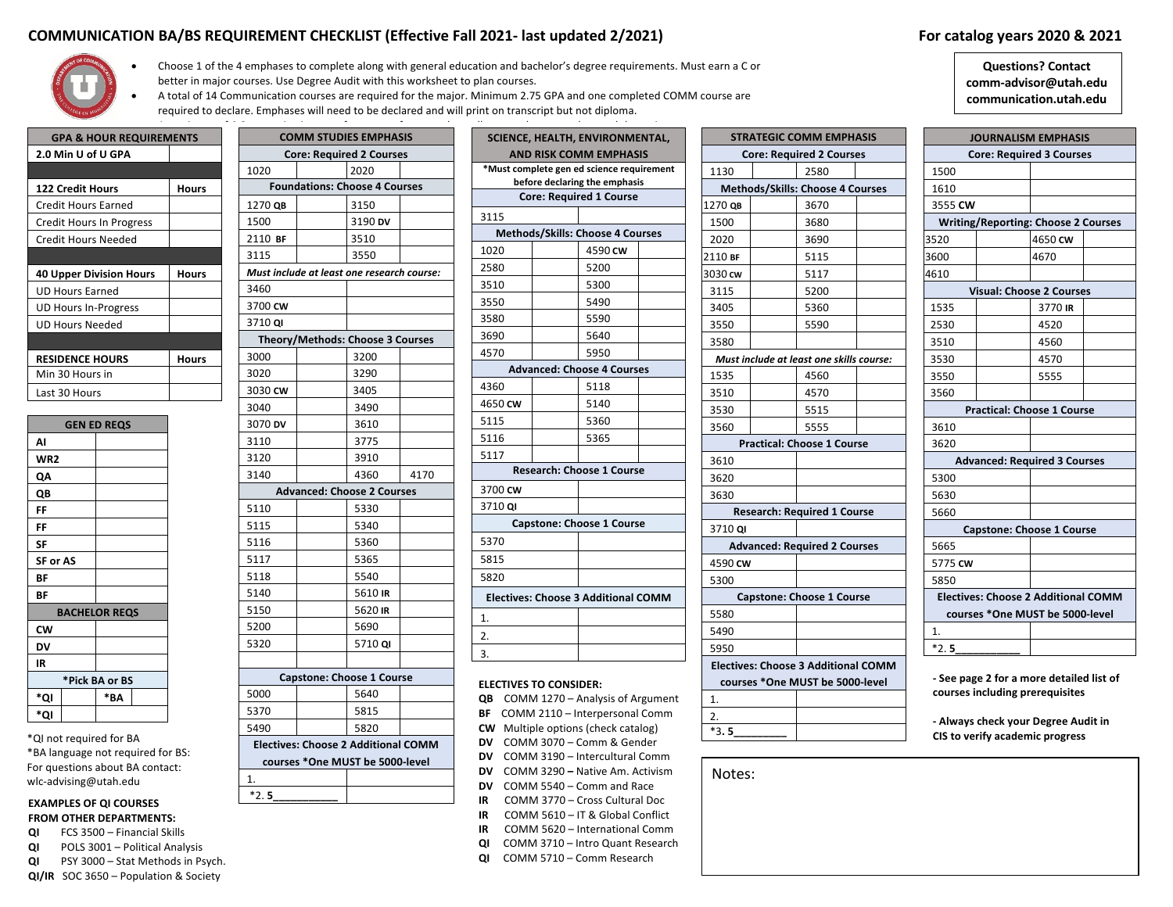# **COMMUNICATION BA/BS REQUIREMENT CHECKLIST (Effective Fall 2021- last updated 2/2021) For catalog years 2020 & 2021**



- Choose 1 of the 4 emphases to complete along with general education and bachelor's degree requirements. Must earn a C or better in major courses. Use Degree Audit with this worksheet to plan courses.
- A total of 14 Communication courses are required for the major. Minimum 2.75 GPA and one completed COMM course are
- required to declare. Emphases will need to be declared and will print on transcript but not diploma.

| <b>GPA &amp; HOUR REQUIREMENTS</b> |       |
|------------------------------------|-------|
| 2.0 Min U of U GPA                 |       |
|                                    |       |
| <b>122 Credit Hours</b>            | Hours |
| Credit Hours Earned                |       |
| <b>Credit Hours In Progress</b>    |       |
| Credit Hours Needed                |       |
|                                    |       |
| <b>40 Upper Division Hours</b>     | Hours |
|                                    |       |
| <b>UD Hours Earned</b>             |       |
| <b>UD Hours In-Progress</b>        |       |
| UD Hours Needed                    |       |
|                                    |       |
| <b>RESIDENCE HOURS</b>             | Hours |
| Min 30 Hours in                    |       |
| Last 30 Hours                      |       |

|          | <b>GEN ED REQS</b>   |
|----------|----------------------|
| AI       |                      |
| WR2      |                      |
| QΑ       |                      |
| QB       |                      |
| FF       |                      |
| FF       |                      |
| SF       |                      |
| SF or AS |                      |
| ΒF       |                      |
| ΒF       |                      |
|          | <b>BACHELOR REQS</b> |
| CW       |                      |
| DV       |                      |
| IR       |                      |
|          | *Pick BA or BS       |
| *QI      | *ΒA                  |
| *QI      |                      |
|          |                      |

\*QI not required for BA \*BA language not required for BS: For questions about BA contact: wlc-advising@utah.edu

## **EXAMPLES OF QI COURSES FROM OTHER DEPARTMENTS:**

- **QI** FCS 3500 Financial Skills
- **QI** POLS 3001 Political Analysis
- **QI** PSY 3000 Stat Methods in Psych.

 $*2.5$ 

**QI/IR** SOC 3650 – Population & Society

|         | <b>COMM STUDIES EMPHASIS</b>                                                  |      |
|---------|-------------------------------------------------------------------------------|------|
|         | <b>Core: Required 2 Courses</b>                                               |      |
| 1020    | 2020                                                                          |      |
|         | <b>Foundations: Choose 4 Courses</b>                                          |      |
| 1270 QB | 3150                                                                          |      |
| 1500    | 3190 DV                                                                       |      |
| 2110 BF | 3510                                                                          |      |
| 3115    | 3550                                                                          |      |
|         | Must include at least one research course:                                    |      |
| 3460    |                                                                               |      |
| 3700 CW |                                                                               |      |
| 3710 QI |                                                                               |      |
|         | Theory/Methods: Choose 3 Courses                                              |      |
| 3000    | 3200                                                                          |      |
| 3020    | 3290                                                                          |      |
| 3030 CW | 3405                                                                          |      |
| 3040    | 3490                                                                          |      |
| 3070 DV | 3610                                                                          |      |
| 3110    | 3775                                                                          |      |
| 3120    | 3910                                                                          |      |
| 3140    | 4360                                                                          | 4170 |
|         | <b>Advanced: Choose 2 Courses</b>                                             |      |
| 5110    | 5330                                                                          |      |
| 5115    | 5340                                                                          |      |
| 5116    | 5360                                                                          |      |
| 5117    | 5365                                                                          |      |
| 5118    | 5540                                                                          |      |
| 5140    | 5610 IR                                                                       |      |
| 5150    | 5620 IR                                                                       |      |
| 5200    | 5690                                                                          |      |
| 5320    | 5710 QI                                                                       |      |
|         |                                                                               |      |
|         | <b>Capstone: Choose 1 Course</b>                                              |      |
| 5000    | 5640                                                                          |      |
| 5370    | 5815                                                                          |      |
| 5490    | 5820                                                                          |      |
|         | <b>Electives: Choose 2 Additional COMM</b><br>courses *One MUST be 5000-level |      |
| 1.      |                                                                               |      |
|         |                                                                               |      |

|       | <b>QUIREMENTS</b> |         | <b>COMM STUDIES EMPHASIS</b>               |      |                               | SCIENCE, HEALTH, ENVIRONMENTAL,                                 |  |
|-------|-------------------|---------|--------------------------------------------|------|-------------------------------|-----------------------------------------------------------------|--|
|       |                   |         | <b>Core: Required 2 Courses</b>            |      |                               | <b>AND RISK COMM EMPHASIS</b>                                   |  |
|       |                   | 1020    | 2020                                       |      |                               | *Must complete gen ed science requirement                       |  |
|       | <b>Hours</b>      |         | <b>Foundations: Choose 4 Courses</b>       |      |                               | before declaring the emphasis<br><b>Core: Required 1 Course</b> |  |
|       |                   | 1270 QB | 3150                                       |      |                               |                                                                 |  |
| ress? |                   | 1500    | 3190 DV                                    |      | 3115                          |                                                                 |  |
|       |                   | 2110 BF | 3510                                       |      |                               | <b>Methods/Skills: Choose 4 Courses</b>                         |  |
|       |                   | 3115    | 3550                                       |      | 1020                          | 4590 CW                                                         |  |
|       | <b>Hours</b>      |         | Must include at least one research course: |      | 2580                          | 5200                                                            |  |
|       |                   | 3460    |                                            |      | 3510                          | 5300                                                            |  |
|       |                   | 3700 CW |                                            |      | 3550                          | 5490                                                            |  |
|       |                   | 3710 QI |                                            |      | 3580                          | 5590                                                            |  |
|       |                   |         | Theory/Methods: Choose 3 Courses           |      | 3690                          | 5640                                                            |  |
|       | Hours             | 3000    | 3200                                       |      | 4570                          | 5950                                                            |  |
|       |                   | 3020    | 3290                                       |      |                               | <b>Advanced: Choose 4 Courses</b>                               |  |
|       |                   | 3030 CW | 3405                                       |      | 4360                          | 5118                                                            |  |
|       |                   | 3040    | 3490                                       |      | 4650 CW                       | 5140                                                            |  |
|       |                   | 3070 DV | 3610                                       |      | 5115                          | 5360                                                            |  |
|       |                   | 3110    | 3775                                       |      | 5116                          | 5365                                                            |  |
|       |                   | 3120    | 3910                                       |      | 5117                          |                                                                 |  |
|       |                   | 3140    | 4360                                       | 4170 |                               | <b>Research: Choose 1 Course</b>                                |  |
|       |                   |         | <b>Advanced: Choose 2 Courses</b>          |      | 3700 CW                       |                                                                 |  |
|       |                   | 5110    | 5330                                       |      | 3710 QI                       |                                                                 |  |
|       |                   | 5115    | 5340                                       |      |                               | <b>Capstone: Choose 1 Course</b>                                |  |
|       |                   | 5116    | 5360                                       |      | 5370                          |                                                                 |  |
|       |                   | 5117    | 5365                                       |      | 5815                          |                                                                 |  |
|       |                   | 5118    | 5540                                       |      | 5820                          |                                                                 |  |
|       |                   | 5140    | 5610 IR                                    |      |                               |                                                                 |  |
|       |                   | 5150    | 5620 IR                                    |      |                               | <b>Electives: Choose 3 Additional COMM</b>                      |  |
|       |                   | 5200    | 5690                                       |      | 1.                            |                                                                 |  |
|       |                   | 5320    | 5710 QI                                    |      | 2.                            |                                                                 |  |
|       |                   |         |                                            |      | 3.                            |                                                                 |  |
|       |                   |         |                                            |      |                               |                                                                 |  |
|       |                   | 5000    | <b>Capstone: Choose 1 Course</b><br>5640   |      | <b>ELECTIVES TO CONSIDER:</b> |                                                                 |  |
|       |                   |         |                                            |      |                               | QB COMM 1270 - Analysis of Argument                             |  |
|       |                   | 5370    | 5815                                       |      |                               | BF COMM 2110 - Interpersonal Comm                               |  |

|         | <b>STRATEGIC COMM EMPHASIS</b>             |  |
|---------|--------------------------------------------|--|
|         | <b>Core: Required 2 Courses</b>            |  |
| 1130    | 2580                                       |  |
|         | Methods/Skills: Choose 4 Courses           |  |
| 1270 QB | 3670                                       |  |
| 1500    | 3680                                       |  |
| 2020    | 3690                                       |  |
| 2110 BF | 5115                                       |  |
| 3030 cw | 5117                                       |  |
| 3115    | 5200                                       |  |
| 3405    | 5360                                       |  |
| 3550    | 5590                                       |  |
| 3580    |                                            |  |
|         | Must include at least one skills course:   |  |
| 1535    | 4560                                       |  |
| 3510    | 4570                                       |  |
| 3530    | 5515                                       |  |
| 3560    | 5555                                       |  |
|         | <b>Practical: Choose 1 Course</b>          |  |
| 3610    |                                            |  |
| 3620    |                                            |  |
| 3630    |                                            |  |
|         | <b>Research: Required 1 Course</b>         |  |
| 3710 QI |                                            |  |
|         | <b>Advanced: Required 2 Courses</b>        |  |
| 4590 CW |                                            |  |
| 5300    |                                            |  |
|         | <b>Capstone: Choose 1 Course</b>           |  |
| 5580    |                                            |  |
| 5490    |                                            |  |
| 5950    |                                            |  |
|         | <b>Electives: Choose 3 Additional COMM</b> |  |
|         | courses *One MUST be 5000-level            |  |

## **Questions? Contact comm-advisor@utah.edu communication.utah.edu**

|         | <b>JOURNALISM EMPHASIS</b>                 |  |
|---------|--------------------------------------------|--|
|         | <b>Core: Required 3 Courses</b>            |  |
| 1500    |                                            |  |
| 1610    |                                            |  |
| 3555 CW |                                            |  |
|         | <b>Writing/Reporting: Choose 2 Courses</b> |  |
| 3520    | 4650 CW                                    |  |
| 3600    | 4670                                       |  |
| 4610    |                                            |  |
|         | <b>Visual: Choose 2 Courses</b>            |  |
| 1535    | 3770 IR                                    |  |
| 2530    | 4520                                       |  |
| 3510    | 4560                                       |  |
| 3530    | 4570                                       |  |
| 3550    | 5555                                       |  |
| 3560    |                                            |  |
|         | <b>Practical: Choose 1 Course</b>          |  |
| 3610    |                                            |  |
| 3620    |                                            |  |
|         | <b>Advanced: Required 3 Courses</b>        |  |
| 5300    |                                            |  |
| 5630    |                                            |  |
| 5660    |                                            |  |
|         | <b>Capstone: Choose 1 Course</b>           |  |
| 5665    |                                            |  |
| 5775 CW |                                            |  |
| 5850    |                                            |  |
|         | <b>Electives: Choose 2 Additional COMM</b> |  |
|         | courses *One MUST be 5000-level            |  |
| 1.      |                                            |  |
| $*2.5$  |                                            |  |

**- See page 2 for a more detailed list of courses including prerequisites**

**- Always check your Degree Audit in CIS to verify academic progress**

Notes:

## **DV** COMM 5540 – Comm and Race

- **IR** COMM 3770 Cross Cultural Doc
- **IR** COMM 5610 IT & Global Conflict

**CW** Multiple options (check catalog) **DV** COMM 3070 – Comm & Gender **DV** COMM 3190 – Intercultural Comm **DV** COMM 3290 **–** Native Am. Activism

- **IR** COMM 5620 International Comm
- **QI** COMM 3710 Intro Quant Research
- **QI** COMM 5710 Comm Research

1. 2.  $*3.5$ **.5\_\_\_\_\_\_\_\_\_\_\_**